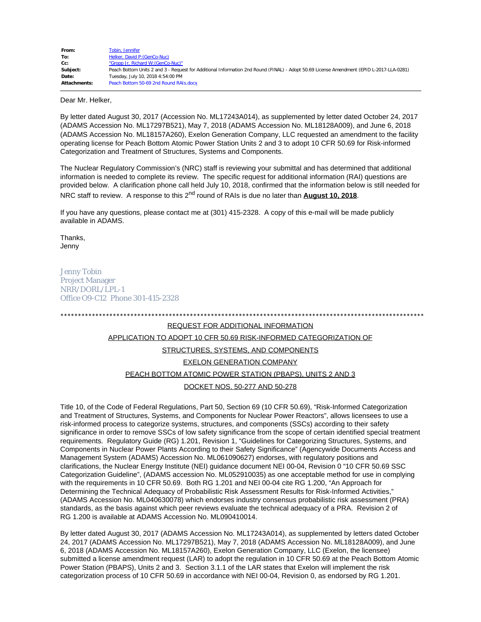| From:               | Tobin, Jennifer                                                                                                                          |
|---------------------|------------------------------------------------------------------------------------------------------------------------------------------|
| To:                 | Helker, David P: (GenCo-Nuc)                                                                                                             |
| Cc:                 | "Gropp Jr, Richard W: (GenCo-Nuc)"                                                                                                       |
| Subject:            | Peach Bottom Units 2 and 3 - Request for Additional Information 2nd Round (FINAL) - Adopt 50.69 License Amendment (EPID L-2017-LLA-0281) |
| Date:               | Tuesday, July 10, 2018 4:54:00 PM                                                                                                        |
| <b>Attachments:</b> | Peach Bottom 50-69 2nd Round RAIs.docx                                                                                                   |

Dear Mr. Helker,

By letter dated August 30, 2017 (Accession No. ML17243A014), as supplemented by letter dated October 24, 2017 (ADAMS Accession No. ML17297B521), May 7, 2018 (ADAMS Accession No. ML18128A009), and June 6, 2018 (ADAMS Accession No. ML18157A260), Exelon Generation Company, LLC requested an amendment to the facility operating license for Peach Bottom Atomic Power Station Units 2 and 3 to adopt 10 CFR 50.69 for Risk-informed Categorization and Treatment of Structures, Systems and Components.

The Nuclear Regulatory Commission's (NRC) staff is reviewing your submittal and has determined that additional information is needed to complete its review. The specific request for additional information (RAI) questions are provided below. A clarification phone call held July 10, 2018, confirmed that the information below is still needed for NRC staff to review. A response to this 2<sup>nd</sup> round of RAIs is due no later than **August 10, 2018**.

If you have any questions, please contact me at (301) 415-2328. A copy of this e-mail will be made publicly available in ADAMS.

Thanks, Jenny

Jenny Tobin Project Manager NRR/DORL/LPL-1 Office O9-C12 Phone 301-415-2328

# \*\*\*\*\*\*\*\*\*\*\*\*\*\*\*\*\*\*\*\*\*\*\*\*\*\*\*\*\*\*\*\*\*\*\*\*\*\*\*\*\*\*\*\*\*\*\*\*\*\*\*\*\*\*\*\*\*\*\*\*\*\*\*\*\*\*\*\*\*\*\*\*\*\*\*\*\*\*\*\*\*\*\*\*\*\*\*\*\*\*\*\*\*\*\*\*\*\*\*\*\*\*\*\* REQUEST FOR ADDITIONAL INFORMATION APPLICATION TO ADOPT 10 CFR 50.69 RISK-INFORMED CATEGORIZATION OF STRUCTURES, SYSTEMS, AND COMPONENTS EXELON GENERATION COMPANY PEACH BOTTOM ATOMIC POWER STATION (PBAPS), UNITS 2 AND 3 DOCKET NOS. 50-277 AND 50-278

Title 10, of the Code of Federal Regulations, Part 50, Section 69 (10 CFR 50.69), "Risk-Informed Categorization and Treatment of Structures, Systems, and Components for Nuclear Power Reactors", allows licensees to use a risk-informed process to categorize systems, structures, and components (SSCs) according to their safety significance in order to remove SSCs of low safety significance from the scope of certain identified special treatment requirements. Regulatory Guide (RG) 1.201, Revision 1, "Guidelines for Categorizing Structures, Systems, and Components in Nuclear Power Plants According to their Safety Significance" (Agencywide Documents Access and Management System (ADAMS) Accession No. ML061090627) endorses, with regulatory positions and clarifications, the Nuclear Energy Institute (NEI) guidance document NEI 00-04, Revision 0 "10 CFR 50.69 SSC Categorization Guideline", (ADAMS accession No. ML052910035) as one acceptable method for use in complying with the requirements in 10 CFR 50.69. Both RG 1.201 and NEI 00-04 cite RG 1.200, "An Approach for Determining the Technical Adequacy of Probabilistic Risk Assessment Results for Risk-Informed Activities," (ADAMS Accession No. ML040630078) which endorses industry consensus probabilistic risk assessment (PRA) standards, as the basis against which peer reviews evaluate the technical adequacy of a PRA. Revision 2 of RG 1.200 is available at ADAMS Accession No. ML090410014.

By letter dated August 30, 2017 (ADAMS Accession No. ML17243A014), as supplemented by letters dated October 24, 2017 (ADAMS Accession No. ML17297B521), May 7, 2018 (ADAMS Accession No. ML18128A009), and June 6, 2018 (ADAMS Accession No. ML18157A260), Exelon Generation Company, LLC (Exelon, the licensee) submitted a license amendment request (LAR) to adopt the regulation in 10 CFR 50.69 at the Peach Bottom Atomic Power Station (PBAPS), Units 2 and 3. Section 3.1.1 of the LAR states that Exelon will implement the risk categorization process of 10 CFR 50.69 in accordance with NEI 00-04, Revision 0, as endorsed by RG 1.201.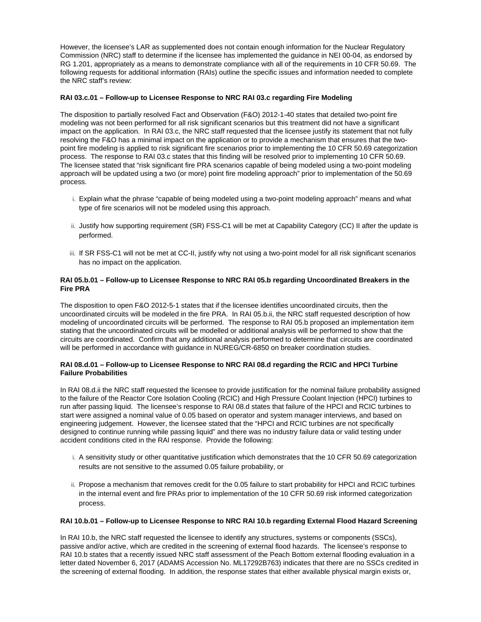However, the licensee's LAR as supplemented does not contain enough information for the Nuclear Regulatory Commission (NRC) staff to determine if the licensee has implemented the guidance in NEI 00-04, as endorsed by RG 1.201, appropriately as a means to demonstrate compliance with all of the requirements in 10 CFR 50.69. The following requests for additional information (RAIs) outline the specific issues and information needed to complete the NRC staff's review:

## **RAI 03.c.01 – Follow-up to Licensee Response to NRC RAI 03.c regarding Fire Modeling**

The disposition to partially resolved Fact and Observation (F&O) 2012-1-40 states that detailed two-point fire modeling was not been performed for all risk significant scenarios but this treatment did not have a significant impact on the application. In RAI 03.c, the NRC staff requested that the licensee justify its statement that not fully resolving the F&O has a minimal impact on the application or to provide a mechanism that ensures that the twopoint fire modeling is applied to risk significant fire scenarios prior to implementing the 10 CFR 50.69 categorization process. The response to RAI 03.c states that this finding will be resolved prior to implementing 10 CFR 50.69. The licensee stated that "risk significant fire PRA scenarios capable of being modeled using a two-point modeling approach will be updated using a two (or more) point fire modeling approach" prior to implementation of the 50.69 process.

- i. Explain what the phrase "capable of being modeled using a two-point modeling approach" means and what type of fire scenarios will not be modeled using this approach.
- ii. Justify how supporting requirement (SR) FSS-C1 will be met at Capability Category (CC) II after the update is performed.
- iii. If SR FSS-C1 will not be met at CC-II, justify why not using a two-point model for all risk significant scenarios has no impact on the application.

# **RAI 05.b.01 – Follow-up to Licensee Response to NRC RAI 05.b regarding Uncoordinated Breakers in the Fire PRA**

The disposition to open F&O 2012-5-1 states that if the licensee identifies uncoordinated circuits, then the uncoordinated circuits will be modeled in the fire PRA. In RAI 05.b.ii, the NRC staff requested description of how modeling of uncoordinated circuits will be performed. The response to RAI 05.b proposed an implementation item stating that the uncoordinated circuits will be modelled or additional analysis will be performed to show that the circuits are coordinated. Confirm that any additional analysis performed to determine that circuits are coordinated will be performed in accordance with guidance in NUREG/CR-6850 on breaker coordination studies.

#### **RAI 08.d.01 – Follow-up to Licensee Response to NRC RAI 08.d regarding the RCIC and HPCI Turbine Failure Probabilities**

In RAI 08.d.ii the NRC staff requested the licensee to provide justification for the nominal failure probability assigned to the failure of the Reactor Core Isolation Cooling (RCIC) and High Pressure Coolant Injection (HPCI) turbines to run after passing liquid. The licensee's response to RAI 08.d states that failure of the HPCI and RCIC turbines to start were assigned a nominal value of 0.05 based on operator and system manager interviews, and based on engineering judgement. However, the licensee stated that the "HPCI and RCIC turbines are not specifically designed to continue running while passing liquid" and there was no industry failure data or valid testing under accident conditions cited in the RAI response. Provide the following:

- i. A sensitivity study or other quantitative justification which demonstrates that the 10 CFR 50.69 categorization results are not sensitive to the assumed 0.05 failure probability, or
- ii. Propose a mechanism that removes credit for the 0.05 failure to start probability for HPCI and RCIC turbines in the internal event and fire PRAs prior to implementation of the 10 CFR 50.69 risk informed categorization process.

## **RAI 10.b.01 – Follow-up to Licensee Response to NRC RAI 10.b regarding External Flood Hazard Screening**

In RAI 10.b, the NRC staff requested the licensee to identify any structures, systems or components (SSCs), passive and/or active, which are credited in the screening of external flood hazards. The licensee's response to RAI 10.b states that a recently issued NRC staff assessment of the Peach Bottom external flooding evaluation in a letter dated November 6, 2017 (ADAMS Accession No. ML17292B763) indicates that there are no SSCs credited in the screening of external flooding. In addition, the response states that either available physical margin exists or,